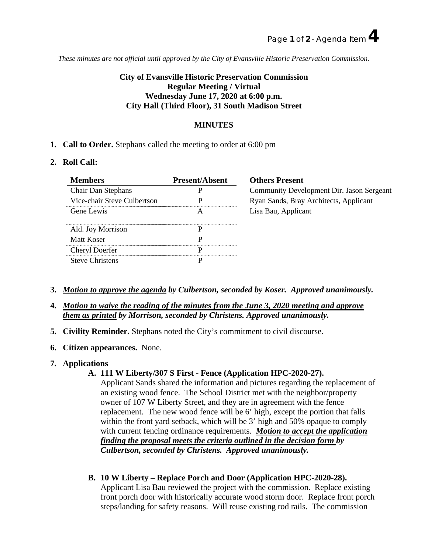*These minutes are not official until approved by the City of Evansville Historic Preservation Commission.*

# **City of Evansville Historic Preservation Commission Regular Meeting / Virtual Wednesday June 17, 2020 at 6:00 p.m. City Hall (Third Floor), 31 South Madison Street**

### **MINUTES**

**1. Call to Order.** Stephans called the meeting to order at 6:00 pm

### **2. Roll Call:**

| <b>Members</b>              | <b>Present/Absent</b> |
|-----------------------------|-----------------------|
| <b>Chair Dan Stephans</b>   |                       |
| Vice-chair Steve Culbertson |                       |
| <b>Gene Lewis</b>           |                       |
| Ald. Joy Morrison           |                       |
| <b>Matt Koser</b>           |                       |
| Cheryl Doerfer              |                       |
| <b>Steve Christens</b>      |                       |
|                             |                       |

## **hers Present** mmunity Development Dir. Jason Sergeant an Sands, Bray Architects, Applicant a Bau, Applicant

- **3.** *Motion to approve the agenda by Culbertson, seconded by Koser. Approved unanimously.*
- **4.** *Motion to waive the reading of the minutes from the June 3, 2020 meeting and approve them as printed by Morrison, seconded by Christens. Approved unanimously.*
- **5. Civility Reminder.** Stephans noted the City's commitment to civil discourse.
- **6. Citizen appearances.** None.
- **7. Applications**

### **A. 111 W Liberty/307 S First - Fence (Application HPC-2020-27).**

Applicant Sands shared the information and pictures regarding the replacement of an existing wood fence. The School District met with the neighbor/property owner of 107 W Liberty Street, and they are in agreement with the fence replacement. The new wood fence will be 6' high, except the portion that falls within the front yard setback, which will be 3' high and 50% opaque to comply with current fencing ordinance requirements. *Motion to accept the application finding the proposal meets the criteria outlined in the decision form by Culbertson, seconded by Christens. Approved unanimously.*

**B. 10 W Liberty – Replace Porch and Door (Application HPC-2020-28).** Applicant Lisa Bau reviewed the project with the commission. Replace existing front porch door with historically accurate wood storm door. Replace front porch

steps/landing for safety reasons. Will reuse existing rod rails. The commission